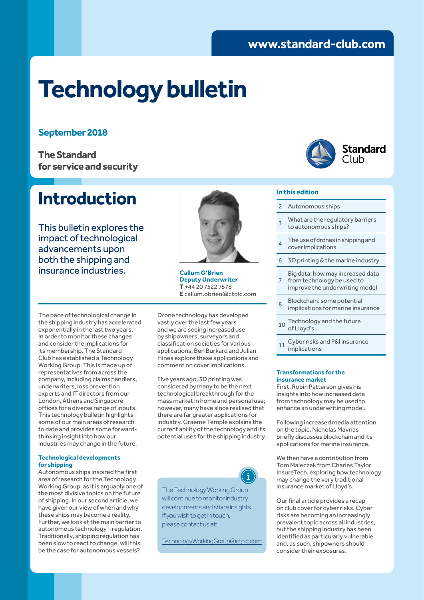### **[www.standard-club.com](http://www.standard-club.com)**

# **Technology bulletin**

### **September 2018**

**The Standard for service and security**

### **Introduction**

This bulletin explores the impact of technological advancements upon both the shipping and insurance industries.



**Callum O'Brien Deputy Underwriter T** +44 20 7522 7578 **E** callum.obrien@ctplc.com

The pace of technological change in the shipping industry has accelerated exponentially in the last two years. In order to monitor these changes and consider the implications for its membership, The Standard Club has established a Technology Working Group. This is made up of representatives from across the company, including claims handlers, underwriters, loss prevention experts and IT directors from our London, Athens and Singapore offices for a diverse range of inputs. This technology bulletin highlights some of our main areas of research to date and provides some forwardthinking insight into how our industries may change in the future.

#### **Technological developments for shipping**

Autonomous ships inspired the first area of research for the Technology Working Group, as it is arguably one of the most divisive topics on the future of shipping. In our second article, we have given our view of when and why these ships may become a reality. Further, we look at the main barrier to autonomous technology – regulation. Traditionally, shipping regulation has been slow to react to change, will this be the case for autonomous vessels?

Drone technology has developed vastly over the last few years and we are seeing increased use by shipowners, surveyors and classification societies for various applications. Ben Burkard and Julian Hines explore these applications and comment on cover implications.

Five years ago, 3D printing was considered by many to be the next technological breakthrough for the mass market in home and personal use; however, many have since realised that there are far greater applications for industry. Graeme Temple explains the current ability of the technology and its potential uses for the shipping industry.



The Technology Working Group will continue to monitor industry developments and share insights. If you wish to get in touch, please contact us at:

[TechnologyWorkingGroup@ctplc.com](http://TechnologyWorkingGroup@ctplc.com)



#### **In this edition**

- 2 Autonomous ships
- 3 What are the regulatory barriers to autonomous ships?
- $\Lambda$  The use of drones in shipping and cover implications
- 6 3D printing & the marine industry
- 7 Big data: how may increased data from technology be used to improve the underwriting model
- <sup>8</sup> Blockchain: some potential implications for marine insurance
- <sup>10</sup> Technology and the future of Lloyd's

<sup>11</sup> Cyber risks and P&I insurance implications

#### **Transformations for the insurance market**

First, Robin Patterson gives his insights into how increased data from technology may be used to enhance an underwriting model.

Following increased media attention on the topic, Nicholas Mavrias briefly discusses blockchain and its applications for marine insurance.

We then have a contribution from Tom Maleczek from Charles Taylor InsureTech, exploring how technology may change the very traditional insurance market of Lloyd's.

Our final article provides a recap on club cover for cyber risks. Cyber risks are becoming an increasingly prevalent topic across all industries, but the shipping industry has been identified as particularly vulnerable and, as such, shipowners should consider their exposures.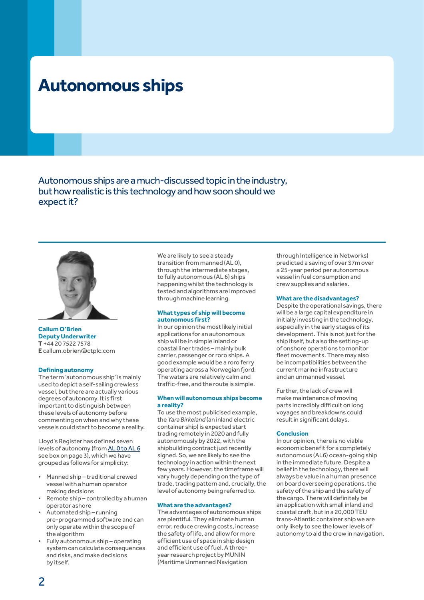### **Autonomous ships**

Autonomous ships are a much-discussed topic in the industry, but how realistic is this technology and how soon should we expect it?



#### **Callum O'Brien Deputy Underwriter T** +44 20 7522 7578 **E** callum.obrien@ctplc.com

#### **Defining autonomy**

The term 'autonomous ship' is mainly used to depict a self-sailing crewless vessel, but there are actually various degrees of autonomy. It is first important to distinguish between these levels of autonomy before commenting on when and why these vessels could start to become a reality.

Lloyd's Register has defined seven levels of autonomy (from [AL 0 to AL 6](https://www.lr.org/en/latest-news/lr-defines-autonomy-levels-for-ship-design-and-operation/) see box on page 3), which we have grouped as follows for simplicity:

- Manned ship traditional crewed vessel with a human operator making decisions
- Remote ship controlled by a human operator ashore
- Automated ship running pre-programmed software and can only operate within the scope of the algorithm
- Fully autonomous ship operating system can calculate consequences and risks, and make decisions by itself.

We are likely to see a steady transition from manned (AL 0), through the intermediate stages, to fully autonomous (AL 6) ships happening whilst the technology is tested and algorithms are improved through machine learning.

#### **What types of ship will become autonomous first?**

In our opinion the most likely initial applications for an autonomous ship will be in simple inland or coastal liner trades – mainly bulk carrier, passenger or roro ships. A good example would be a roro ferry operating across a Norwegian fjord. The waters are relatively calm and traffic-free, and the route is simple.

#### **When will autonomous ships become a reality?**

To use the most publicised example, the *Yara Birkeland* (an inland electric container ship) is expected start trading remotely in 2020 and fully autonomously by 2022, with the shipbuilding contract just recently signed. So, we are likely to see the technology in action within the next few years. However, the timeframe will vary hugely depending on the type of trade, trading pattern and, crucially, the level of autonomy being referred to.

#### **What are the advantages?**

The advantages of autonomous ships are plentiful. They eliminate human error, reduce crewing costs, increase the safety of life, and allow for more efficient use of space in ship design and efficient use of fuel. A threeyear research project by MUNIN (Maritime Unmanned Navigation

through Intelligence in Networks) predicted a saving of over \$7m over a 25-year period per autonomous vessel in fuel consumption and crew supplies and salaries.

#### **What are the disadvantages?**

Despite the operational savings, there will be a large capital expenditure in initially investing in the technology, especially in the early stages of its development. This is not just for the ship itself, but also the setting-up of onshore operations to monitor fleet movements. There may also be incompatibilities between the current marine infrastructure and an unmanned vessel.

Further, the lack of crew will make maintenance of moving parts incredibly difficult on long voyages and breakdowns could result in significant delays.

#### **Conclusion**

In our opinion, there is no viable economic benefit for a completely autonomous (AL6) ocean-going ship in the immediate future. Despite a belief in the technology, there will always be value in a human presence on board overseeing operations, the safety of the ship and the safety of the cargo. There will definitely be an application with small inland and coastal craft, but in a 20,000 TEU trans-Atlantic container ship we are only likely to see the lower levels of autonomy to aid the crew in navigation.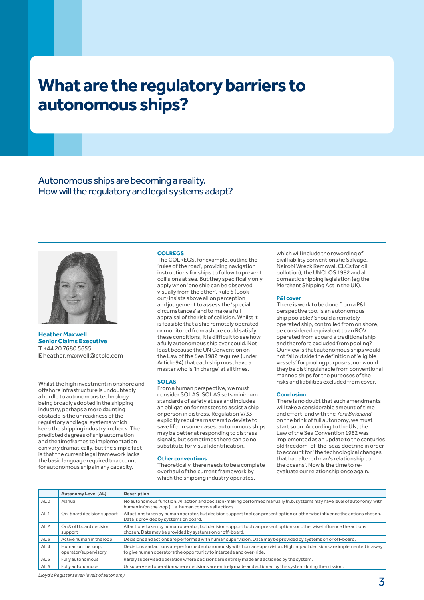### **What are the regulatory barriers to autonomous ships?**

Autonomous ships are becoming a reality. How will the regulatory and legal systems adapt?



**Heather Maxwell Senior Claims Executive T** +44 20 7680 5655 **E** heather.maxwell@ctplc.com

Whilst the high investment in onshore and offshore infrastructure is undoubtedly a hurdle to autonomous technology being broadly adopted in the shipping industry, perhaps a more daunting obstacle is the unreadiness of the regulatory and legal systems which keep the shipping industry in check. The predicted degrees of ship automation and the timeframes to implementation can vary dramatically, but the simple fact is that the current legal framework lacks the basic language required to account for autonomous ships in any capacity.

#### **COLREGS**

The COLREGS, for example, outline the 'rules of the road', providing navigation instructions for ships to follow to prevent collisions at sea. But they specifically only apply when 'one ship can be observed visually from the other'. Rule 5 (Lookout) insists above all on perception and judgement to assess the 'special circumstances' and to make a full appraisal of the risk of collision. Whilst it is feasible that a ship remotely operated or monitored from ashore could satisfy these conditions, it is difficult to see how a fully autonomous ship ever could. Not least because the UN Convention on the Law of the Sea 1982 requires (under Article 94) that each ship must have a master who is 'in charge' at all times.

#### **SOLAS**

From a human perspective, we must consider SOLAS. SOLAS sets minimum standards of safety at sea and includes an obligation for masters to assist a ship or person in distress. Regulation V/33 explicitly requires masters to deviate to save life. In some cases, autonomous ships may be better at responding to distress signals, but sometimes there can be no substitute for visual identification.

#### **Other conventions**

Theoretically, there needs to be a complete overhaul of the current framework by which the shipping industry operates,

which will include the rewording of civil liability conventions (ie Salvage, Nairobi Wreck Removal, CLCs for oil pollution), the UNCLOS 1982 and all domestic shipping legislation (eg the Merchant Shipping Act in the UK).

#### **P&I cover**

There is work to be done from a P&I perspective too. Is an autonomous ship poolable? Should a remotely operated ship, controlled from on shore, be considered equivalent to an ROV operated from aboard a traditional ship and therefore excluded from pooling? Our view is that autonomous ships would not fall outside the definition of 'eligible vessels' for pooling purposes, nor would they be distinguishable from conventional manned ships for the purposes of the risks and liabilities excluded from cover.

#### **Conclusion**

There is no doubt that such amendments will take a considerable amount of time and effort, and with the *Yara Birkeland* on the brink of full autonomy, we must start soon. According to the UN, the Law of the Sea Convention 1982 was implemented as an update to the centuries old freedom-of-the-seas doctrine in order to account for 'the technological changes that had altered man's relationship to the oceans'. Now is the time to reevaluate our relationship once again.

|                 | <b>Autonomy Level (AL)</b>                 | <b>Description</b>                                                                                                                                                                             |
|-----------------|--------------------------------------------|------------------------------------------------------------------------------------------------------------------------------------------------------------------------------------------------|
| AL <sub>0</sub> | Manual                                     | No autonomous function. All action and decision-making performed manually (n.b. systems may have level of autonomy, with<br>human in/on the loop.), i.e. human controls all actions.           |
| AL <sub>1</sub> | On-board decision support                  | All actions taken by human operator, but decision support tool can present option or otherwise influence the actions chosen.<br>Data is provided by systems on board.                          |
| AL2             | On & off board decision<br>support         | All actions taken by human operator, but decision support tool can present options or otherwise influence the actions<br>chosen. Data may be provided by systems on or off-board.              |
| AL <sub>3</sub> | Active human in the loop                   | Decisions and actions are performed with human supervision. Data may be provided by systems on or off-board.                                                                                   |
| AL <sub>4</sub> | Human on the loop,<br>operator/supervisory | Decisions and actions are performed autonomously with human supervision. High impact decisions are implemented in a way<br>to give human operators the opportunity to intercede and over-ride. |
| AL <sub>5</sub> | Fully autonomous                           | Rarely supervised operation where decisions are entirely made and actioned by the system.                                                                                                      |
| AL <sub>6</sub> | <b>Fully autonomous</b>                    | Unsupervised operation where decisions are entirely made and actioned by the system during the mission.                                                                                        |

*Lloyd's Register seven levels of autonomy*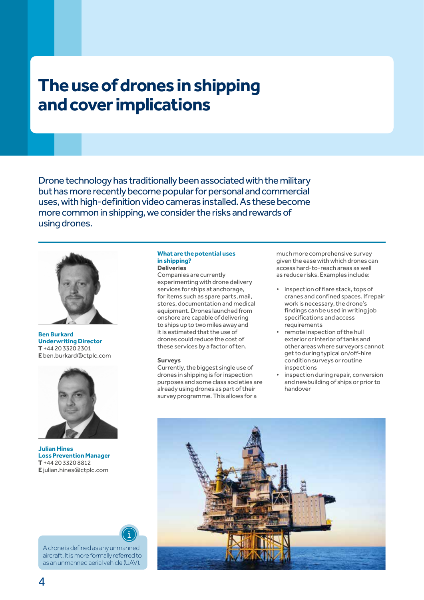## **The use of drones in shipping and cover implications**

Drone technology has traditionally been associated with the military but has more recently become popular for personal and commercial uses, with high-definition video cameras installed. As these become more common in shipping, we consider the risks and rewards of using drones.



**Ben Burkard Underwriting Director T** +44 20 3320 2301 **E** ben.burkard@ctplc.com



**Julian Hines Loss Prevention Manager T** +44 20 3320 8812 **E** julian.hines@ctplc.com

#### **What are the potential uses in shipping? Deliveries**

Companies are currently experimenting with drone delivery services for ships at anchorage, for items such as spare parts, mail, stores, documentation and medical equipment. Drones launched from onshore are capable of delivering to ships up to two miles away and it is estimated that the use of drones could reduce the cost of these services by a factor of ten.

#### **Surveys**

Currently, the biggest single use of drones in shipping is for inspection purposes and some class societies are already using drones as part of their survey programme. This allows for a

much more comprehensive survey given the ease with which drones can access hard-to-reach areas as well as reduce risks. Examples include:

- inspection of flare stack, tops of cranes and confined spaces. If repair work is necessary, the drone's findings can be used in writing job specifications and access requirements
- remote inspection of the hull exterior or interior of tanks and other areas where surveyors cannot get to during typical on/off-hire condition surveys or routine inspections
- inspection during repair, conversion and newbuilding of ships or prior to handover



A drone is defined as any unmanned aircraft. It is more formally referred to as an unmanned aerial vehicle (UAV).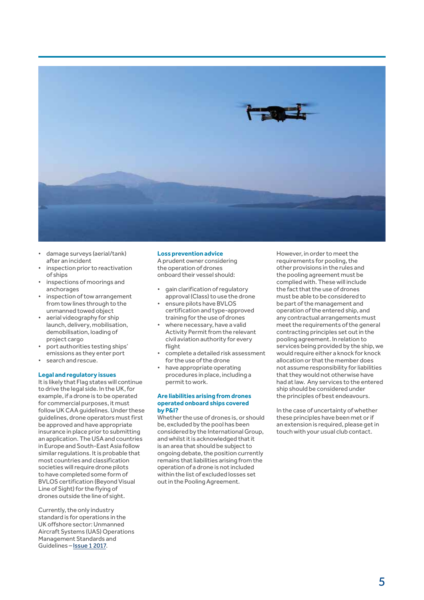

- damage surveys (aerial/tank) after an incident
- inspection prior to reactivation of ships
- inspections of moorings and anchorages
- inspection of tow arrangement from tow lines through to the unmanned towed object
- aerial videography for ship launch, delivery, mobilisation, demobilisation, loading of project cargo
- port authorities testing ships' emissions as they enter port
- search and rescue.

#### **Legal and regulatory issues**

It is likely that Flag states will continue to drive the legal side. In the UK, for example, if a drone is to be operated for commercial purposes, it must follow UK CAA guidelines. Under these guidelines, drone operators must first be approved and have appropriate insurance in place prior to submitting an application. The USA and countries in Europe and South-East Asia follow similar regulations. It is probable that most countries and classification societies will require drone pilots to have completed some form of BVLOS certification (Beyond Visual Line of Sight) for the flying of drones outside the line of sight.

Currently, the only industry standard is for operations in the UK offshore sector: Unmanned Aircraft Systems (UAS) Operations Management Standards and Guidelines – [Issue 1 2017](https://oilandgasuk.co.uk/product/unmanned-aircraft-systems-uas-operations-management-standards-and-guidelines-issue-1-2017-hse05/).

#### **Loss prevention advice**

A prudent owner considering the operation of drones onboard their vessel should:

- gain clarification of regulatory approval (Class) to use the drone
- ensure pilots have BVLOS certification and type-approved training for the use of drones
- where necessary, have a valid Activity Permit from the relevant civil aviation authority for every flight
- complete a detailed risk assessment for the use of the drone
- have appropriate operating procedures in place, including a permit to work.

#### **Are liabilities arising from drones operated onboard ships covered by P&I?**

Whether the use of drones is, or should be, excluded by the pool has been considered by the International Group, and whilst it is acknowledged that it is an area that should be subject to ongoing debate, the position currently remains that liabilities arising from the operation of a drone is not included within the list of excluded losses set out in the Pooling Agreement.

However, in order to meet the requirements for pooling, the other provisions in the rules and the pooling agreement must be complied with. These will include the fact that the use of drones must be able to be considered to be part of the management and operation of the entered ship, and any contractual arrangements must meet the requirements of the general contracting principles set out in the pooling agreement. In relation to services being provided by the ship, we would require either a knock for knock allocation or that the member does not assume responsibility for liabilities that they would not otherwise have had at law. Any services to the entered ship should be considered under the principles of best endeavours.

In the case of uncertainty of whether these principles have been met or if an extension is required, please get in touch with your usual club contact.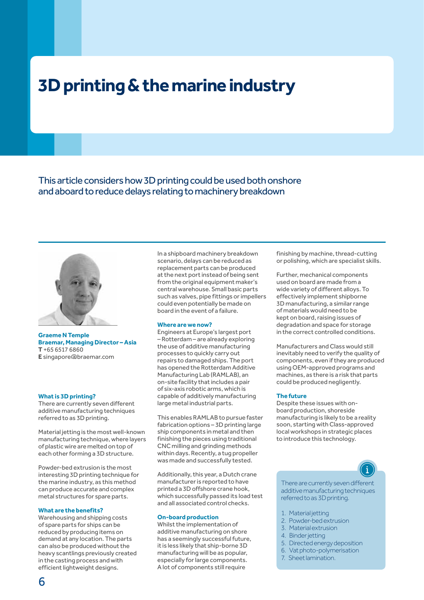## **3D printing & the marine industry**

This article considers how 3D printing could be used both onshore and aboard to reduce delays relating to machinery breakdown



**Graeme N Temple Braemar, Managing Director – Asia T** +65 6517 6860 **E** singapore@braemar.com

#### **What is 3D printing?**

There are currently seven different additive manufacturing techniques referred to as 3D printing.

Material jetting is the most well-known manufacturing technique, where layers of plastic wire are melted on top of each other forming a 3D structure.

Powder-bed extrusion is the most interesting 3D printing technique for the marine industry, as this method can produce accurate and complex metal structures for spare parts.

#### **What are the benefits?**

Warehousing and shipping costs of spare parts for ships can be reduced by producing items on demand at any location. The parts can also be produced without the heavy scantlings previously created in the casting process and with efficient lightweight designs.

In a shipboard machinery breakdown scenario, delays can be reduced as replacement parts can be produced at the next port instead of being sent from the original equipment maker's central warehouse. Small basic parts such as valves, pipe fittings or impellers could even potentially be made on board in the event of a failure.

#### **Where are we now?**

Engineers at Europe's largest port – Rotterdam – are already exploring the use of additive manufacturing processes to quickly carry out repairs to damaged ships. The port has opened the Rotterdam Additive Manufacturing Lab (RAMLAB), an on-site facility that includes a pair of six-axis robotic arms, which is capable of additively manufacturing large metal industrial parts.

This enables RAMLAB to pursue faster fabrication options – 3D printing large ship components in metal and then finishing the pieces using traditional CNC milling and grinding methods within days. Recently, a tug propeller was made and successfully tested.

Additionally, this year, a Dutch crane manufacturer is reported to have printed a 3D offshore crane hook, which successfully passed its load test and all associated control checks.

#### **On-board production**

Whilst the implementation of additive manufacturing on shore has a seemingly successful future, it is less likely that ship-borne 3D manufacturing will be as popular, especially for large components. A lot of components still require

finishing by machine, thread-cutting or polishing, which are specialist skills.

Further, mechanical components used on board are made from a wide variety of different alloys. To effectively implement shipborne 3D manufacturing, a similar range of materials would need to be kept on board, raising issues of degradation and space for storage in the correct controlled conditions.

Manufacturers and Class would still inevitably need to verify the quality of components, even if they are produced using OEM-approved programs and machines, as there is a risk that parts could be produced negligently.

#### **The future**

Despite these issues with onboard production, shoreside manufacturing is likely to be a reality soon, starting with Class-approved local workshops in strategic places to introduce this technology.



There are currently seven different additive manufacturing techniques referred to as 3D printing.

- 1. Material jetting
- 2. Powder-bed extrusion
- 3. Material extrusion
- 4. Binder jetting
- 5. Directed energy deposition
- 6. Vat photo-polymerisation
- 7. Sheet lamination.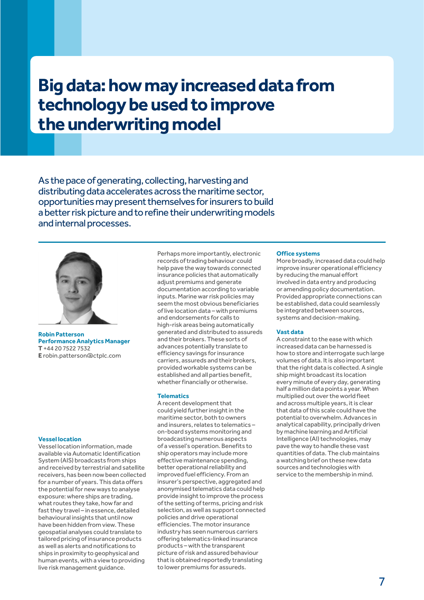## **Big data: how may increased data from technology be used to improve the underwriting model**

As the pace of generating, collecting, harvesting and distributing data accelerates across the maritime sector, opportunities may present themselves for insurers to build a better risk picture and to refine their underwriting models and internal processes.



**Robin Patterson Performance Analytics Manager T** +44 20 7522 7532 **E** robin.patterson@ctplc.com

#### **Vessel location**

Vessel location information, made available via Automatic Identification System (AIS) broadcasts from ships and received by terrestrial and satellite receivers, has been now been collected for a number of years. This data offers the potential for new ways to analyse exposure: where ships are trading, what routes they take, how far and fast they travel – in essence, detailed behavioural insights that until now have been hidden from view. These geospatial analyses could translate to tailored pricing of insurance products as well as alerts and notifications to ships in proximity to geophysical and human events, with a view to providing live risk management guidance.

Perhaps more importantly, electronic records of trading behaviour could help pave the way towards connected insurance policies that automatically adjust premiums and generate documentation according to variable inputs. Marine war risk policies may seem the most obvious beneficiaries of live location data – with premiums and endorsements for calls to high-risk areas being automatically generated and distributed to assureds and their brokers. These sorts of advances potentially translate to efficiency savings for insurance carriers, assureds and their brokers, provided workable systems can be established and all parties benefit, whether financially or otherwise.

#### **Telematics**

A recent development that could yield further insight in the maritime sector, both to owners and insurers, relates to telematics – on-board systems monitoring and broadcasting numerous aspects of a vessel's operation. Benefits to ship operators may include more effective maintenance spending, better operational reliability and improved fuel efficiency. From an insurer's perspective, aggregated and anonymised telematics data could help provide insight to improve the process of the setting of terms, pricing and risk selection, as well as support connected policies and drive operational efficiencies. The motor insurance industry has seen numerous carriers offering telematics-linked insurance products – with the transparent picture of risk and assured behaviour that is obtained reportedly translating to lower premiums for assureds.

#### **Office systems**

More broadly, increased data could help improve insurer operational efficiency by reducing the manual effort involved in data entry and producing or amending policy documentation. Provided appropriate connections can be established, data could seamlessly be integrated between sources, systems and decision-making.

#### **Vast data**

A constraint to the ease with which increased data can be harnessed is how to store and interrogate such large volumes of data. It is also important that the right data is collected. A single ship might broadcast its location every minute of every day, generating half a million data points a year. When multiplied out over the world fleet and across multiple years, it is clear that data of this scale could have the potential to overwhelm. Advances in analytical capability, principally driven by machine learning and Artificial Intelligence (AI) technologies, may pave the way to handle these vast quantities of data. The club maintains a watching brief on these new data sources and technologies with service to the membership in mind.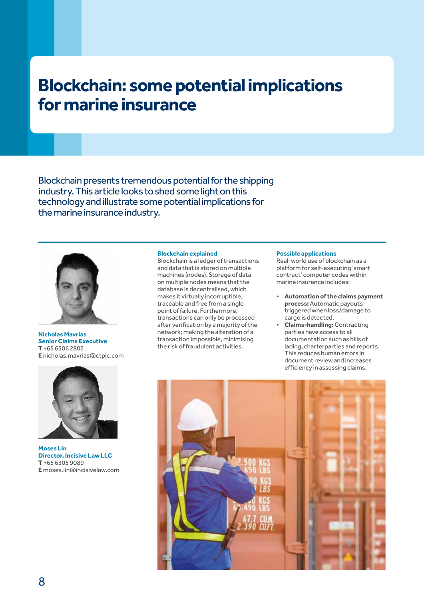## **Blockchain: some potential implications for marine insurance**

Blockchain presents tremendous potential for the shipping industry. This article looks to shed some light on this technology and illustrate some potential implications for the marine insurance industry.



**Nicholas Mavrias Senior Claims Executive T** +65 6506 2802 **E** nicholas.mavrias@ctplc.com



**Moses Lin Director, Incisive Law LLC T** +65 6305 9089 **E** moses.lin@incisivelaw.com

#### **Blockchain explained**

Blockchain is a ledger of transactions and data that is stored on multiple machines (nodes). Storage of data on multiple nodes means that the database is decentralised, which makes it virtually incorruptible, traceable and free from a single point of failure. Furthermore, transactions can only be processed after verification by a majority of the network; making the alteration of a transaction impossible, minimising the risk of fraudulent activities.

#### **Possible applications**

Real-world use of blockchain as a platform for self-executing 'smart contract' computer codes within marine insurance includes:

- **Automation of the claims payment process:** Automatic payouts triggered when loss/damage to cargo is detected.
- **Claims-handling:** Contracting parties have access to all documentation such as bills of lading, charterparties and reports. This reduces human errors in document review and increases efficiency in assessing claims.

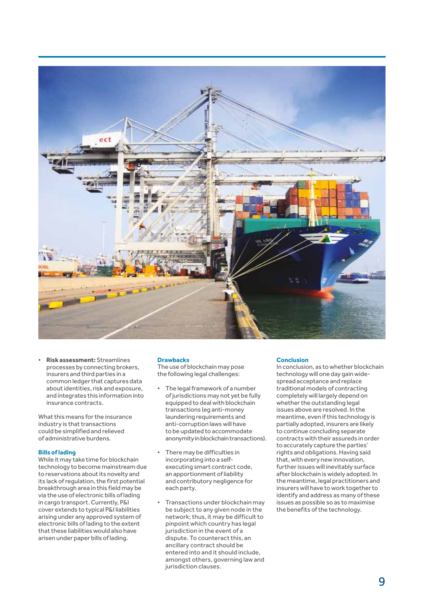

• **Risk assessment:** Streamlines processes by connecting brokers, insurers and third parties in a common ledger that captures data about identities, risk and exposure, and integrates this information into insurance contracts.

What this means for the insurance industry is that transactions could be simplified and relieved of administrative burdens.

#### **Bills of lading**

While it may take time for blockchain technology to become mainstream due to reservations about its novelty and its lack of regulation, the first potential breakthrough area in this field may be via the use of electronic bills of lading in cargo transport. Currently, P&I cover extends to typical P&I liabilities arising under any approved system of electronic bills of lading to the extent that these liabilities would also have arisen under paper bills of lading.

#### **Drawbacks**

The use of blockchain may pose the following legal challenges:

- The legal framework of a number of jurisdictions may not yet be fully equipped to deal with blockchain transactions (eg anti-money laundering requirements and anti-corruption laws will have to be updated to accommodate anonymity in blockchain transactions).
- There may be difficulties in incorporating into a selfexecuting smart contract code, an apportionment of liability and contributory negligence for each party.
- Transactions under blockchain may be subject to any given node in the network; thus, it may be difficult to pinpoint which country has legal jurisdiction in the event of a dispute. To counteract this, an ancillary contract should be entered into and it should include, amongst others, governing law and jurisdiction clauses.

#### **Conclusion**

In conclusion, as to whether blockchain technology will one day gain widespread acceptance and replace traditional models of contracting completely will largely depend on whether the outstanding legal issues above are resolved. In the meantime, even if this technology is partially adopted, insurers are likely to continue concluding separate contracts with their assureds in order to accurately capture the parties' rights and obligations. Having said that, with every new innovation, further issues will inevitably surface after blockchain is widely adopted. In the meantime, legal practitioners and insurers will have to work together to identify and address as many of these issues as possible so as to maximise the benefits of the technology.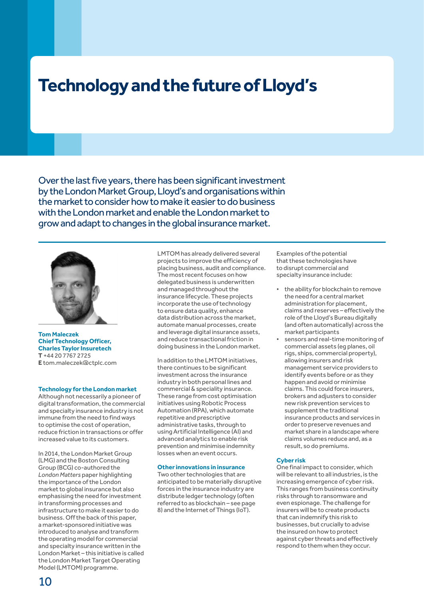# **Technology and the future of Lloyd's**

Over the last five years, there has been significant investment by the London Market Group, Lloyd's and organisations within the market to consider how to make it easier to do business with the London market and enable the London market to grow and adapt to changes in the global insurance market.



**Tom Maleczek Chief Technology Officer, Charles Taylor Insuretech T** +44 20 7767 2725 **E** tom.maleczek@ctplc.com

#### **Technology for the London market**

Although not necessarily a pioneer of digital transformation, the commercial and specialty insurance industry is not immune from the need to find ways to optimise the cost of operation, reduce friction in transactions or offer increased value to its customers.

In 2014, the London Market Group (LMG) and the Boston Consulting Group (BCG) co-authored the *London Matters* paper highlighting the importance of the London market to global insurance but also emphasising the need for investment in transforming processes and infrastructure to make it easier to do business. Off the back of this paper, a market-sponsored initiative was introduced to analyse and transform the operating model for commercial and specialty insurance written in the London Market – this initiative is called the London Market Target Operating Model (LMTOM) programme.

LMTOM has already delivered several projects to improve the efficiency of placing business, audit and compliance. The most recent focuses on how delegated business is underwritten and managed throughout the insurance lifecycle. These projects incorporate the use of technology to ensure data quality, enhance data distribution across the market, automate manual processes, create and leverage digital insurance assets, and reduce transactional friction in doing business in the London market.

In addition to the LMTOM initiatives, there continues to be significant investment across the insurance industry in both personal lines and commercial & speciality insurance. These range from cost optimisation initiatives using Robotic Process Automation (RPA), which automate repetitive and prescriptive administrative tasks, through to using Artificial Intelligence (AI) and advanced analytics to enable risk prevention and minimise indemnity losses when an event occurs.

#### **Other innovations in insurance**

Two other technologies that are anticipated to be materially disruptive forces in the insurance industry are distribute ledger technology (often referred to as blockchain – see page 8) and the Internet of Things (IoT).

Examples of the potential that these technologies have to disrupt commercial and specialty insurance include:

- the ability for blockchain to remove the need for a central market administration for placement, claims and reserves – effectively the role of the Lloyd's Bureau digitally (and often automatically) across the market participants
- sensors and real-time monitoring of commercial assets (eg planes, oil rigs, ships, commercial property), allowing insurers and risk management service providers to identify events before or as they happen and avoid or minimise claims. This could force insurers, brokers and adjusters to consider new risk prevention services to supplement the traditional insurance products and services in order to preserve revenues and market share in a landscape where claims volumes reduce and, as a result, so do premiums.

#### **Cyber risk**

One final impact to consider, which will be relevant to all industries, is the increasing emergence of cyber risk. This ranges from business continuity risks through to ransomware and even espionage. The challenge for insurers will be to create products that can indemnify this risk to businesses, but crucially to advise the insured on how to protect against cyber threats and effectively respond to them when they occur.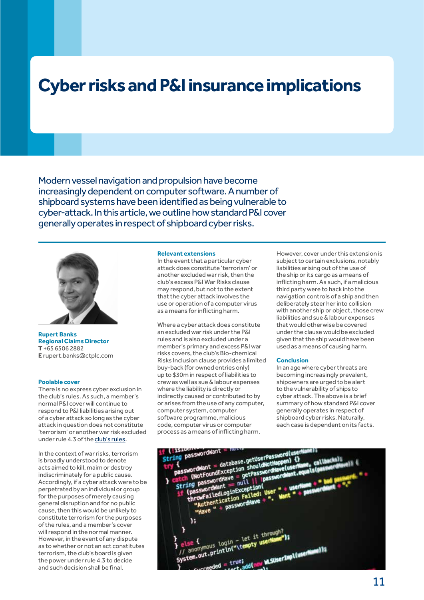## **Cyber risks and P&I insurance implications**

Modern vessel navigation and propulsion have become increasingly dependent on computer software. A number of shipboard systems have been identified as being vulnerable to cyber-attack. In this article, we outline how standard P&I cover generally operates in respect of shipboard cyber risks.



**Rupert Banks Regional Claims Director T** +65 6506 2882 **E** rupert.banks@ctplc.com

#### **Poolable cover**

There is no express cyber exclusion in the club's rules. As such, a member's normal P&I cover will continue to respond to P&I liabilities arising out of a cyber attack so long as the cyber attack in question does not constitute 'terrorism' or another war risk excluded under rule 4.3 of the [club's rules.](http://www.standard-club.com/news-and-knowledge/publications/club-rules.aspx)

In the context of war risks, terrorism is broadly understood to denote acts aimed to kill, maim or destroy indiscriminately for a public cause. Accordingly, if a cyber attack were to be perpetrated by an individual or group for the purposes of merely causing general disruption and for no public cause, then this would be unlikely to constitute terrorism for the purposes of the rules, and a member's cover will respond in the normal manner. However, in the event of any dispute as to whether or not an act constitutes terrorism, the club's board is given the power under rule 4.3 to decide and such decision shall be final.

#### **Relevant extensions**

In the event that a particular cyber attack does constitute 'terrorism' or another excluded war risk, then the club's excess P&I War Risks clause may respond, but not to the extent that the cyber attack involves the use or operation of a computer virus as a means for inflicting harm.

Where a cyber attack does constitute an excluded war risk under the P&I rules and is also excluded under a member's primary and excess P&I war risks covers, the club's Bio-chemical Risks Inclusion clause provides a limited buy-back (for owned entries only) up to \$30m in respect of liabilities to crew as well as sue & labour expenses where the liability is directly or indirectly caused or contributed to by or arises from the use of any computer, computer system, computer software programme, malicious code, computer virus or computer process as a means of inflicting harm.

However, cover under this extension is subject to certain exclusions, notably liabilities arising out of the use of the ship or its cargo as a means of inflicting harm. As such, if a malicious third party were to hack into the navigation controls of a ship and then deliberately steer her into collision with another ship or object, those crew liabilities and sue & labour expenses that would otherwise be covered under the clause would be excluded given that the ship would have been used as a means of causing harm.

#### **Conclusion**

In an age where cyber threats are becoming increasingly prevalent, shipowners are urged to be alert to the vulnerability of ships to cyber attack. The above is a brief summary of how standard P&I cover generally operates in respect of shipboard cyber risks. Naturally, each case is dependent on its facts.